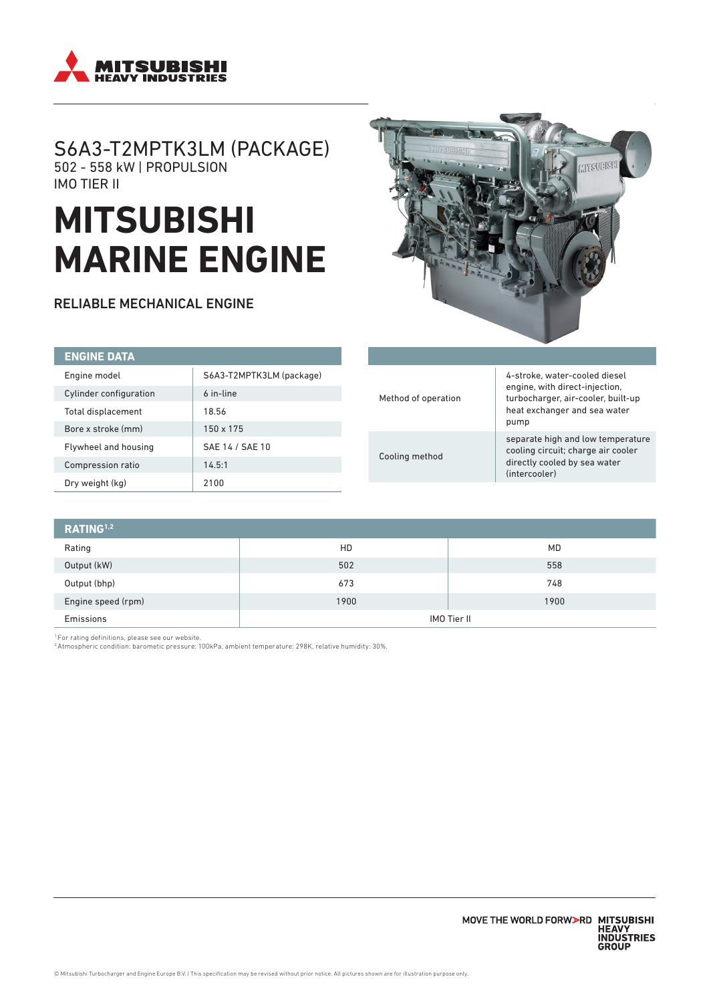

## S6A3-T2MPTK3LM (PACKAGE) 502 - 558 kW | PROPULSION IMO TIER II

# **MITSUBISHI MARINE ENGINE**

RELIABLE MECHANICAL ENGINE



| <b>ENGINE DATA</b>     |                          |
|------------------------|--------------------------|
| Engine model           | S6A3-T2MPTK3LM (package) |
| Cylinder configuration | 6 in-line                |
| Total displacement     | 18.56                    |
| Bore x stroke (mm)     | 150 x 175                |
| Flywheel and housing   | SAE 14 / SAE 10          |
| Compression ratio      | 14.5:1                   |
| Dry weight (kg)        | 2100                     |

|                    | 4-stroke, water-cooled diesel                                                                                            |  |
|--------------------|--------------------------------------------------------------------------------------------------------------------------|--|
| ethod of operation | engine, with direct-injection,<br>turbocharger, air-cooler, built-up<br>heat exchanger and sea water<br>pump             |  |
| oling method       | separate high and low temperature<br>cooling circuit; charge air cooler<br>directly cooled by sea water<br>(intercooler) |  |

| RATING <sup>1,2</sup> |             |      |
|-----------------------|-------------|------|
| Rating                | HD          | MD   |
| Output (kW)           | 502         | 558  |
| Output (bhp)          | 673         | 748  |
| Engine speed (rpm)    | 1900        | 1900 |
| Emissions             | IMO Tier II |      |

<sup>1</sup> For rating definitions, please see our website.<br><sup>2</sup> Atmospheric condition: barometic pressure: 100kPa, ambient temperature: 298K, relative humidity: 30%.